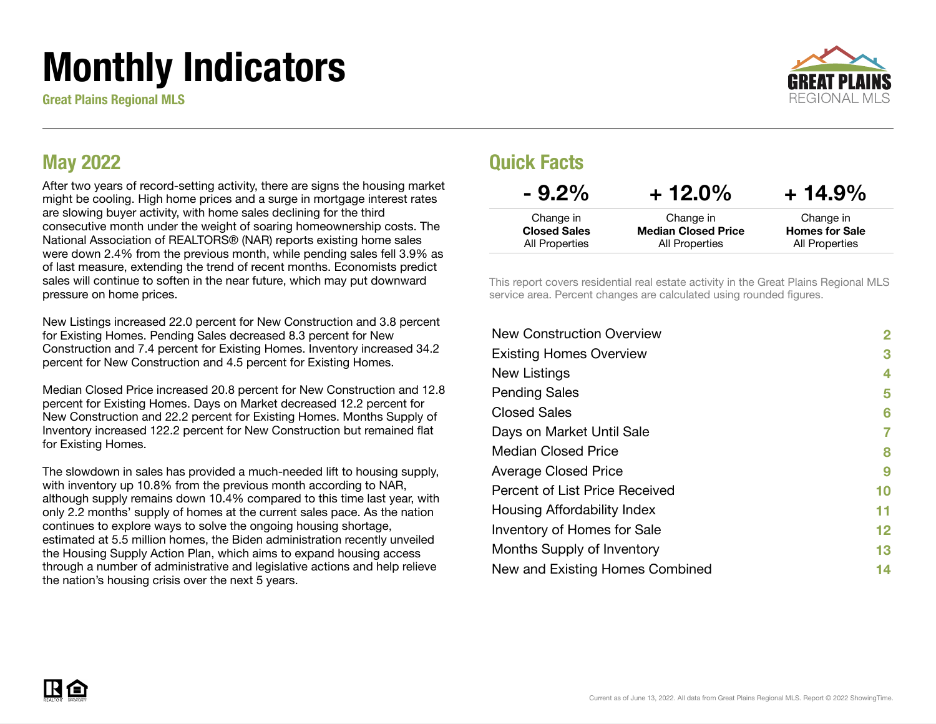# Monthly Indicators

Great Plains Regional MLS



### May 2022

After two years of record-setting activity, there are signs the housing market might be cooling. High home prices and a surge in mortgage interest rates are slowing buyer activity, with home sales declining for the third consecutive month under the weight of soaring homeownership costs. The National Association of REALTORS® (NAR) reports existing home sales were down 2.4% from the previous month, while pending sales fell 3.9% as of last measure, extending the trend of recent months. Economists predict sales will continue to soften in the near future, which may put downward pressure on home prices.

New Listings increased 22.0 percent for New Construction and 3.8 percent for Existing Homes. Pending Sales decreased 8.3 percent for New Construction and 7.4 percent for Existing Homes. Inventory increased 34.2 percent for New Construction and 4.5 percent for Existing Homes.

Median Closed Price increased 20.8 percent for New Construction and 12.8 percent for Existing Homes. Days on Market decreased 12.2 percent for New Construction and 22.2 percent for Existing Homes. Months Supply of Inventory increased 122.2 percent for New Construction but remained flat for Existing Homes.

The slowdown in sales has provided a much-needed lift to housing supply, with inventory up 10.8% from the previous month according to NAR, although supply remains down 10.4% compared to this time last year, with only 2.2 months' supply of homes at the current sales pace. As the nation continues to explore ways to solve the ongoing housing shortage, estimated at 5.5 million homes, the Biden administration recently unveiled the Housing Supply Action Plan, which aims to expand housing access through a number of administrative and legislative actions and help relieve the nation's housing crisis over the next 5 years.

### Quick Facts

| $-9.2\%$                         | $+12.0\%$                               | $+14.9%$                           |  |
|----------------------------------|-----------------------------------------|------------------------------------|--|
| Change in<br><b>Closed Sales</b> | Change in<br><b>Median Closed Price</b> | Change in<br><b>Homes for Sale</b> |  |
| All Properties                   | All Properties                          | All Properties                     |  |

This report covers residential real estate activity in the Great Plains Regional MLS service area. Percent changes are calculated using rounded figures.

| <b>New Construction Overview</b> | $\overline{2}$ |
|----------------------------------|----------------|
| <b>Existing Homes Overview</b>   | 3              |
| New Listings                     | 4              |
| <b>Pending Sales</b>             | 5              |
| <b>Closed Sales</b>              | 6              |
| Days on Market Until Sale        | 7              |
| Median Closed Price              | 8              |
| <b>Average Closed Price</b>      | 9              |
| Percent of List Price Received   | 10             |
| Housing Affordability Index      | 11             |
| Inventory of Homes for Sale      | 12             |
| Months Supply of Inventory       | 13             |
| New and Existing Homes Combined  | 14             |

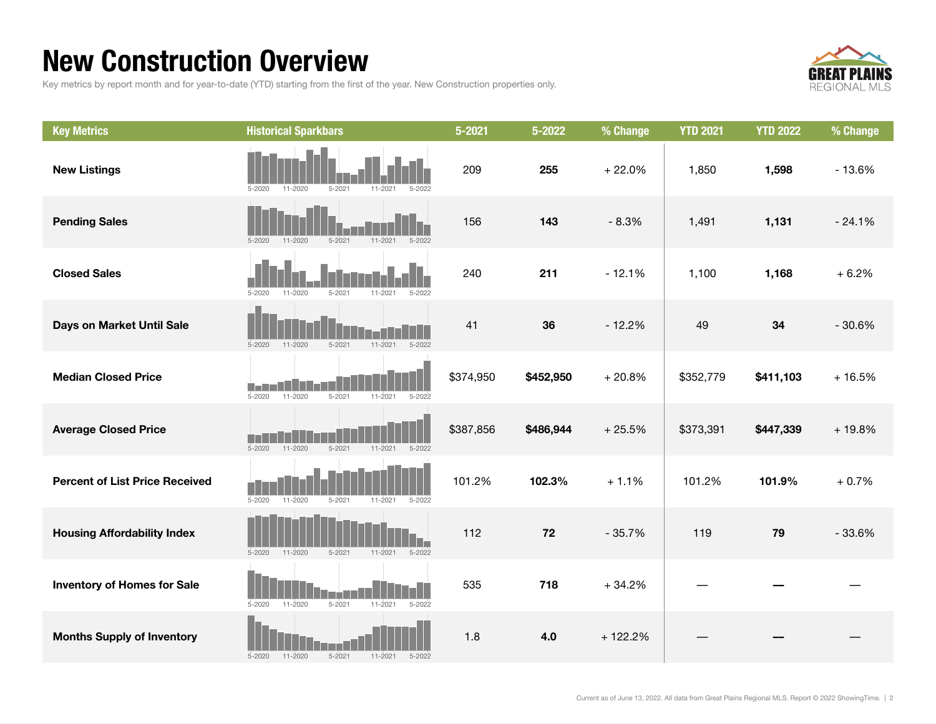### New Construction Overview

Key metrics by report month and for year-to-date (YTD) starting from the first of the year. New Construction properties only.



| <b>Key Metrics</b>                    | <b>Historical Sparkbars</b>                                          | $5 - 2021$ | 5-2022    | % Change  | <b>YTD 2021</b> | <b>YTD 2022</b> | % Change |
|---------------------------------------|----------------------------------------------------------------------|------------|-----------|-----------|-----------------|-----------------|----------|
| <b>New Listings</b>                   | $11 - 202$<br>$5 - 2020$<br>$11 - 2020$<br>$5 - 2021$<br>5-2022      | 209        | 255       | $+22.0%$  | 1,850           | 1,598           | $-13.6%$ |
| <b>Pending Sales</b>                  | $11 - 2020$<br>$5 - 2021$<br>$11 - 2021$<br>$5 - 2022$<br>$5 - 2020$ | 156        | 143       | $-8.3%$   | 1,491           | 1,131           | $-24.1%$ |
| <b>Closed Sales</b>                   | $5 - 2020$<br>$5 - 2021$<br>11-2021<br>11-2020<br>5-2022             | 240        | 211       | $-12.1%$  | 1,100           | 1,168           | $+6.2%$  |
| Days on Market Until Sale             | $5 - 2021$<br>$11 - 2021$<br>$5 - 2022$<br>$5 - 2020$<br>11-2020     | 41         | 36        | $-12.2%$  | 49              | 34              | $-30.6%$ |
| <b>Median Closed Price</b>            | 11-2020<br>$5 - 2021$<br>$5 - 2020$<br>$11 - 2021$<br>$5 - 2022$     | \$374,950  | \$452,950 | $+20.8%$  | \$352,779       | \$411,103       | $+16.5%$ |
| <b>Average Closed Price</b>           | $5 - 2020$<br>$11 - 2020$<br>$5 - 2021$<br>$11 - 2021$<br>$5 - 2022$ | \$387,856  | \$486,944 | $+25.5%$  | \$373,391       | \$447,339       | $+19.8%$ |
| <b>Percent of List Price Received</b> | $5 - 2020$<br>11-2020<br>$5 - 2021$<br>11-2021<br>$5 - 2022$         | 101.2%     | 102.3%    | $+1.1%$   | 101.2%          | 101.9%          | $+0.7%$  |
| <b>Housing Affordability Index</b>    | $5 - 2020$<br>$11 - 2020$<br>$5 - 2021$<br>$11 - 2021$<br>$5 - 2022$ | 112        | 72        | $-35.7%$  | 119             | 79              | $-33.6%$ |
| <b>Inventory of Homes for Sale</b>    | $5 - 2020$<br>11-2020<br>$5 - 2021$<br>11-2021<br>$5 - 2022$         | 535        | 718       | $+34.2%$  |                 |                 |          |
| <b>Months Supply of Inventory</b>     | $5 - 2021$<br>$5 - 2020$<br>$11 - 2020$<br>$11 - 2021$<br>$5 - 2022$ | 1.8        | 4.0       | $+122.2%$ |                 |                 |          |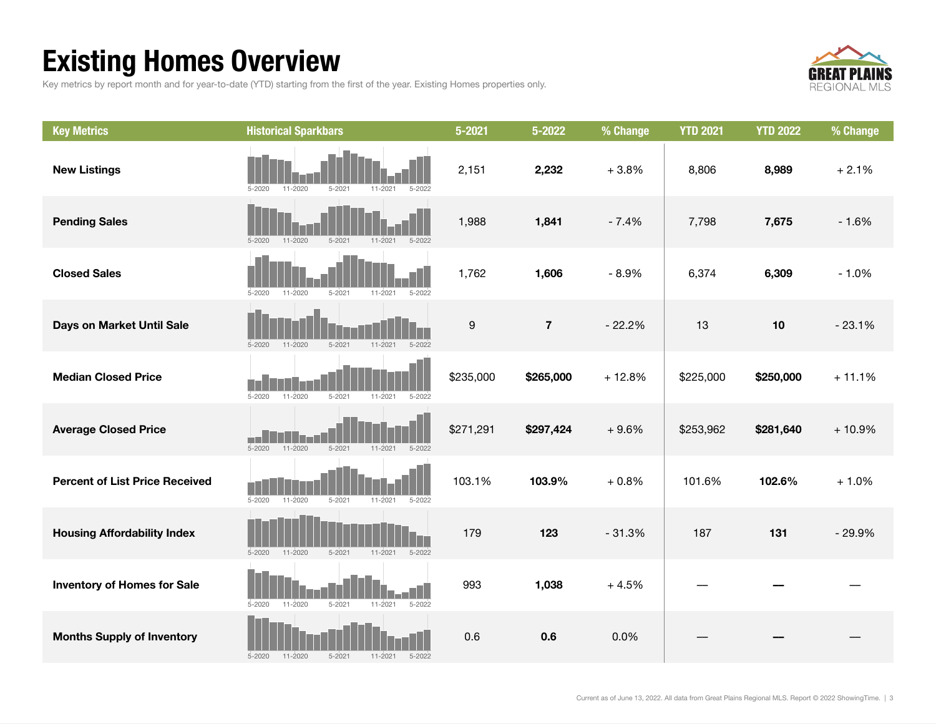### Existing Homes Overview

Key metrics by report month and for year-to-date (YTD) starting from the first of the year. Existing Homes properties only.



| <b>Key Metrics</b>                    | <b>Historical Sparkbars</b>                                          | $5 - 2021$       | 5-2022         | % Change | <b>YTD 2021</b> | <b>YTD 2022</b> | % Change |
|---------------------------------------|----------------------------------------------------------------------|------------------|----------------|----------|-----------------|-----------------|----------|
| <b>New Listings</b>                   | 11-2020<br>$5 - 2021$<br>$5 - 2020$<br>$11 - 2021$<br>5-2022         | 2,151            | 2,232          | $+3.8%$  | 8,806           | 8,989           | $+2.1%$  |
| <b>Pending Sales</b>                  | $5 - 2020$<br>$11 - 2020$<br>$5 - 2021$<br>$11 - 2021$<br>$5 - 2022$ | 1,988            | 1,841          | $-7.4%$  | 7,798           | 7,675           | $-1.6%$  |
| <b>Closed Sales</b>                   | $5 - 2021$<br>$5 - 2022$<br>$5 - 2020$<br>$11 - 2020$<br>11-2021     | 1,762            | 1,606          | $-8.9%$  | 6,374           | 6,309           | $-1.0%$  |
| Days on Market Until Sale             | $5 - 2021$<br>11-2021<br>$5 - 2022$<br>$5 - 2020$<br>11-2020         | $\boldsymbol{9}$ | $\overline{7}$ | $-22.2%$ | 13              | 10              | $-23.1%$ |
| <b>Median Closed Price</b>            | $5 - 2020$<br>$11 - 2020$<br>$5 - 2021$<br>$11 - 2021$<br>$5 - 2022$ | \$235,000        | \$265,000      | $+12.8%$ | \$225,000       | \$250,000       | $+11.1%$ |
| <b>Average Closed Price</b>           | $11 - 2020$<br>$5 - 2021$<br>5-2020<br>11-2021<br>5-2022             | \$271,291        | \$297,424      | $+9.6%$  | \$253,962       | \$281,640       | $+10.9%$ |
| <b>Percent of List Price Received</b> | $5 - 2020$<br>$11 - 2020$<br>$5 - 2021$<br>11-2021<br>$5 - 2022$     | 103.1%           | 103.9%         | $+0.8%$  | 101.6%          | 102.6%          | $+1.0%$  |
| <b>Housing Affordability Index</b>    | $11 - 2020$<br>$5 - 2021$<br>$11 - 2021$<br>$5 - 2022$<br>$5 - 2020$ | 179              | 123            | $-31.3%$ | 187             | 131             | $-29.9%$ |
| <b>Inventory of Homes for Sale</b>    | $5 - 2022$<br>$5 - 2020$<br>11-2020<br>$5 - 2021$<br>11-2021         | 993              | 1,038          | $+4.5%$  |                 |                 |          |
| <b>Months Supply of Inventory</b>     | $5 - 2020$<br>$11 - 2020$<br>$5 - 2021$<br>$11 - 2021$<br>$5 - 2022$ | 0.6              | 0.6            | 0.0%     |                 |                 |          |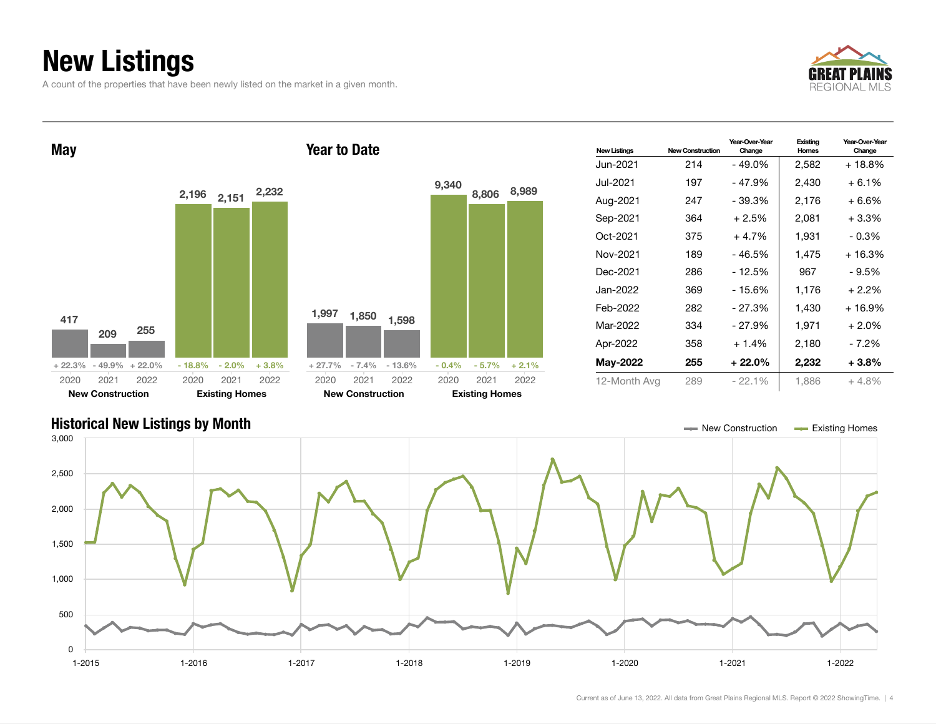### New Listings

A count of the properties that have been newly listed on the market in a given month.





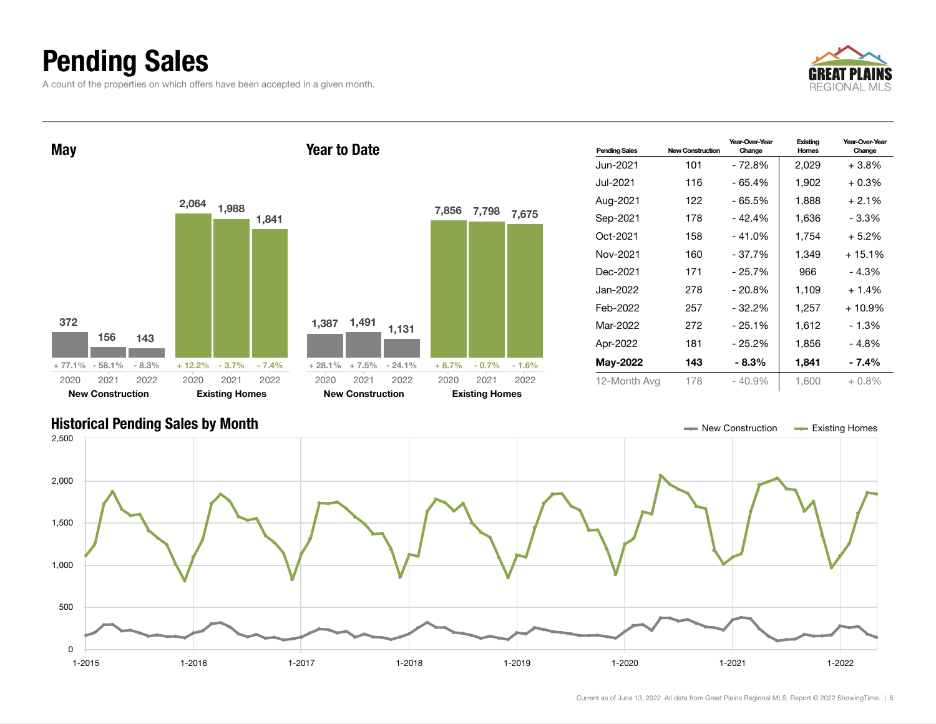### Pending Sales

A count of the properties on which offers have been accepted in a given month.





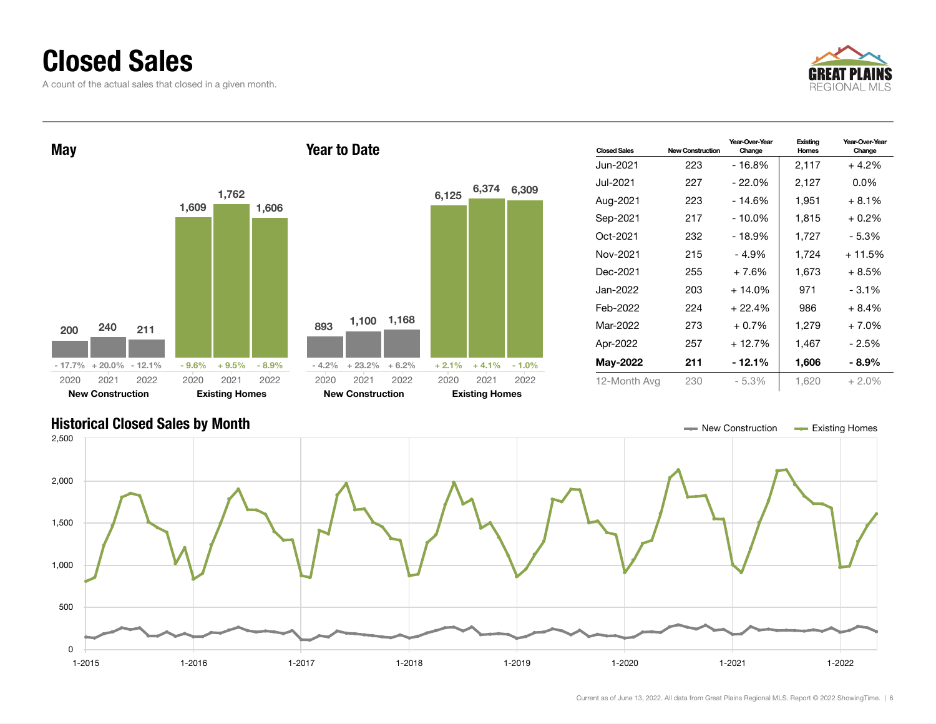### Closed Sales

A count of the actual sales that closed in a given month.





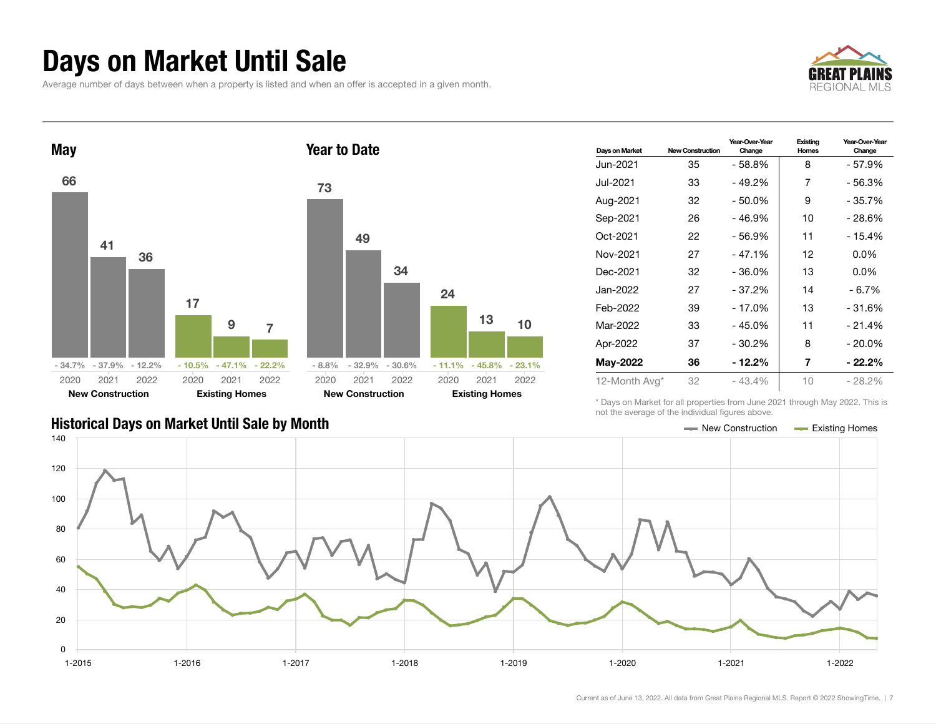### Days on Market Until Sale

Average number of days between when a property is listed and when an offer is accepted in a given month.





| Days on Market | <b>New Construction</b> | Year-Over-Year<br>Change | Existing<br>Homes | Year-Over-Year<br>Change |
|----------------|-------------------------|--------------------------|-------------------|--------------------------|
| Jun-2021.      | 35                      | $-58.8%$                 | 8                 | - 57.9%                  |
| Jul-2021       | 33                      | - 49.2%                  | 7                 | - 56.3%                  |
| Aug-2021       | 32                      | - 50.0%                  | 9                 | - 35.7%                  |
| Sep-2021       | 26                      | - 46.9%                  | 10                | - 28.6%                  |
| Oct-2021       | 22                      | $-56.9%$                 | 11                | - 15.4%                  |
| Nov-2021       | 27                      | $-47.1%$                 | 12                | $0.0\%$                  |
| Dec-2021       | 32                      | $-36.0%$                 | 13                | $0.0\%$                  |
| Jan-2022       | 27                      | $-37.2%$                 | 14                | $-6.7%$                  |
| Feb-2022       | 39                      | - 17.0%                  | 13                | - 31.6%                  |
| Mar-2022       | 33                      | $-45.0%$                 | 11                | $-21.4%$                 |
| Apr-2022       | 37                      | $-30.2\%$                | 8                 | $-20.0\%$                |
| May-2022       | 36                      | - 12.2%                  | 7                 | - 22.2%                  |
| 12-Month Avg*  | 32                      | $-43.4%$                 | 10                | $-28.2\%$                |

\* Days on Market for all properties from June 2021 through May 2022. This is not the average of the individual figures above.



 $13 \t 10$ 

2021 2022

Existing Homes

#### Historical Days on Market Until Sale by Month New York New York New York New York New York New York Homes Existing Homes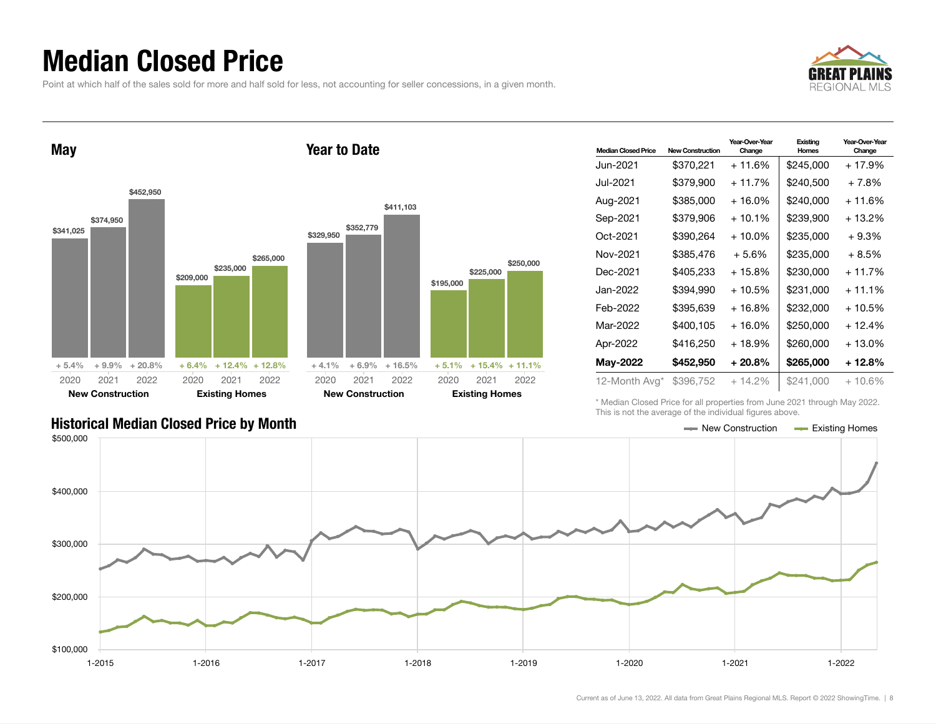### Median Closed Price

Point at which half of the sales sold for more and half sold for less, not accounting for seller concessions, in a given month.



May \$341,025 \$374,950 \$452,950 + 5.4% + 9.9% + 20.8% \$209,000 \$235. \$265,000  $+ 6.4\% + 12.$ 2020 New Construction 2021 2022 2020 Existing 202 Year to Date \$329,950 \$352,779 \$411,103  $+4.1\%$   $+6.9\%$   $+16.5\%$ 2020 New Construction

| <b>Median Closed Price</b> | <b>New Construction</b> | Year-Over-Year<br>Change | Existing<br>Homes | Year-Over-Year<br>Change |
|----------------------------|-------------------------|--------------------------|-------------------|--------------------------|
| Jun-2021 <b>.</b>          | \$370.221               | $+11.6%$                 | \$245,000         | $+17.9%$                 |
| Jul-2021                   | \$379,900               | $+11.7%$                 | \$240,500         | $+7.8%$                  |
| Aug-2021                   | \$385,000               | + 16.0%                  | \$240,000         | + 11.6%                  |
| Sep-2021                   | \$379,906               | $+10.1\%$                | \$239,900         | $+13.2%$                 |
| Oct-2021                   | \$390.264               | $+10.0\%$                | \$235.000         | $+9.3%$                  |
| Nov-2021                   | \$385,476               | $+5.6%$                  | \$235,000         | $+8.5%$                  |
| Dec-2021                   | \$405,233               | + 15.8%                  | \$230,000         | $+11.7%$                 |
| Jan-2022.                  | \$394.990               | $+10.5%$                 | \$231.000         | $+11.1%$                 |
| Feb-2022                   | \$395,639               | $+16.8%$                 | \$232,000         | $+10.5%$                 |
| Mar-2022                   | \$400.105               | $+16.0\%$                | \$250.000         | + 12.4%                  |
| Apr-2022                   | \$416,250               | + 18.9%                  | \$260,000         | $+13.0\%$                |
| May-2022                   | \$452,950               | $+20.8\%$                | \$265,000         | + 12.8%                  |
| 12-Month Avg*              | \$396,752               | $+14.2\%$                | \$241,000         | $+10.6\%$                |

\* Median Closed Price for all properties from June 2021 through May 2022. This is not the average of the individual figures above.



#### Historical Median Closed Price by Month **New Construction According Closed Price by Month** New Construction According Homes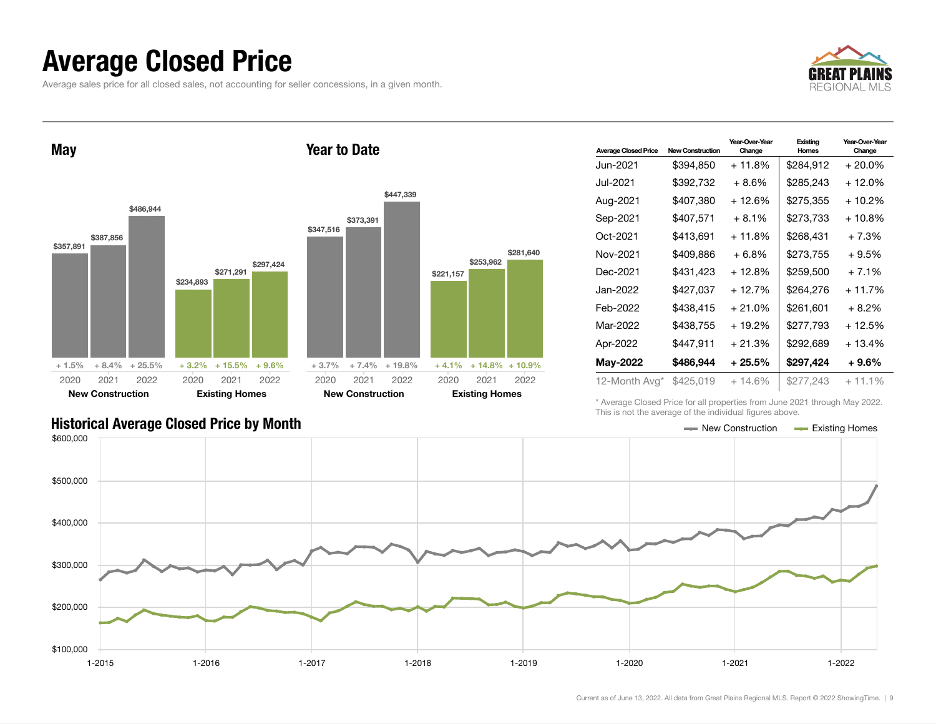### Average Closed Price

Average sales price for all closed sales, not accounting for seller concessions, in a given month.



May \$357,891 \$387,856 \$486,944 + 1.5% + 8.4% + 25.5% \$234,893 \$271,291 \$297,424 + 3.2% + 15.5% + 9.6% 2020 New Construction 2021 2022 2020 Existing Homes 2021 2022 Year to Date \$347,516 \$373,391 \$447,339 + 3.7% + 7.4% + 19.8% \$221,157 \$253,962  $+4.1\% +14.8\% +10.9\%$ 2020 New Construction 2021 2022 2020 Existing Homes 2021 2022

| <b>Average Closed Price</b> | <b>New Construction</b> | Year-Over-Year<br>Change | Existing<br>Homes | Year-Over-Year<br>Change |
|-----------------------------|-------------------------|--------------------------|-------------------|--------------------------|
| Jun-2021.                   | \$394,850               | + 11.8%                  | \$284,912         | $+20.0\%$                |
| Jul-2021                    | \$392,732               | $+8.6\%$                 | \$285,243         | $+12.0%$                 |
| Aug-2021                    | \$407,380               | $+12.6%$                 | \$275,355         | $+10.2%$                 |
| Sep-2021                    | \$407,571               | $+8.1%$                  | \$273,733         | + 10.8%                  |
| Oct-2021                    | \$413,691               | + 11.8%                  | \$268,431         | $+7.3%$                  |
| Nov-2021                    | \$409,886               | $+6.8%$                  | \$273,755         | + 9.5%                   |
| Dec-2021                    | \$431.423               | + 12.8%                  | \$259,500         | $+7.1%$                  |
| Jan-2022                    | \$427,037               | $+12.7%$                 | \$264,276         | $+11.7%$                 |
| Feb-2022                    | \$438,415               | $+21.0%$                 | \$261,601         | $+8.2%$                  |
| Mar-2022                    | \$438,755               | + 19.2%                  | \$277,793         | + 12.5%                  |
| Apr-2022                    | \$447,911               | $+21.3%$                 | \$292,689         | + 13.4%                  |
| May-2022                    | \$486,944               | $+25.5\%$                | \$297,424         | $+9.6%$                  |
| 12-Month Avg*               | \$425,019               | $+14.6\%$                | \$277,243         | $+11.1%$                 |

Historical Average Closed Price by Month **New Construction Average Closed Price by Month** New Construction **New Construction** 

\* Average Closed Price for all properties from June 2021 through May 2022. This is not the average of the individual figures above.



\$281,640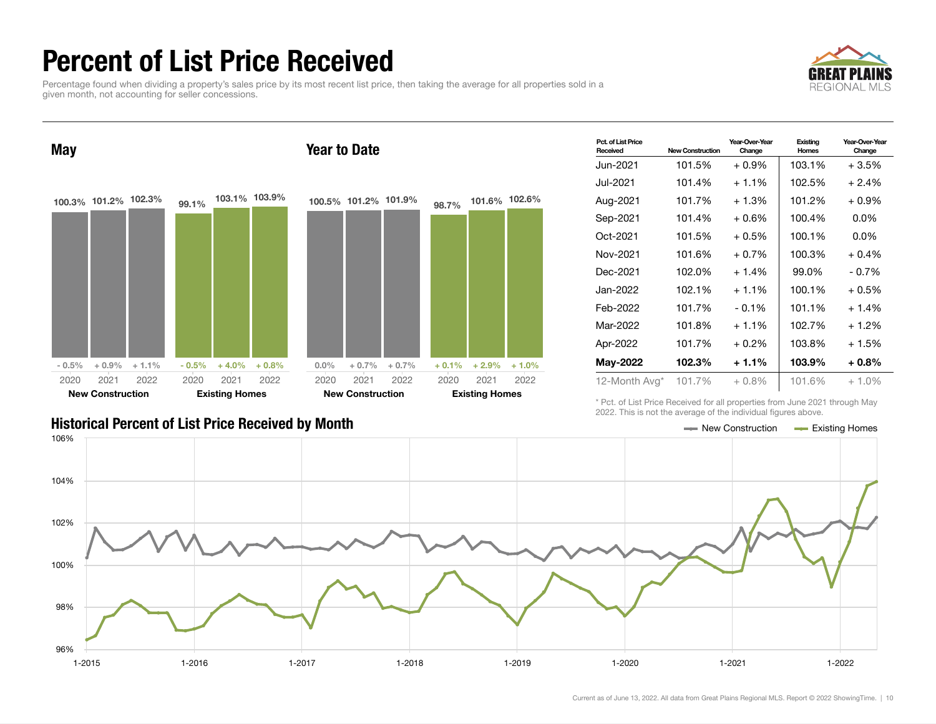### Percent of List Price Received

Percentage found when dividing a property's sales price by its most recent list price, then taking the average for all properties sold in a given month, not accounting for seller concessions.





| Pct. of List Price<br>Received | <b>New Construction</b> | Year-Over-Year<br>Change | Existing<br>Homes | Year-Over-Year<br>Change |
|--------------------------------|-------------------------|--------------------------|-------------------|--------------------------|
| Jun-2021                       | 101.5%                  | $+0.9%$                  | 103.1%            | + 3.5%                   |
| Jul-2021.                      | 101.4%                  | $+1.1\%$                 | 102.5%            | $+2.4%$                  |
| Aug-2021                       | 101.7%                  | $+1.3%$                  | 101.2%            | + 0.9%                   |
| Sep-2021                       | 101.4%                  | $+0.6%$                  | 100.4%            | $0.0\%$                  |
| Oct-2021                       | 101.5%                  | $+0.5%$                  | 100.1%            | $0.0\%$                  |
| Nov-2021                       | 101.6%                  | $+0.7%$                  | 100.3%            | $+0.4%$                  |
| Dec-2021                       | 102.0%                  | $+1.4%$                  | 99.0%             | - 0.7%                   |
| Jan-2022                       | 102.1%                  | $+1.1%$                  | 100.1%            | + 0.5%                   |
| Feb-2022                       | 101.7%                  | $-0.1%$                  | 101.1%            | $+1.4%$                  |
| Mar-2022                       | 101.8%                  | $+1.1\%$                 | 102.7%            | + 1.2%                   |
| Apr-2022                       | 101.7%                  | $+0.2\%$                 | 103.8%            | + 1.5%                   |
| <b>May-2022</b>                | 102.3%                  | $+1.1%$                  | 103.9%            | $+0.8%$                  |
| 12-Month Avg*                  | 101.7%                  | $+0.8\%$                 | 101.6%            | $+1.0%$                  |

\* Pct. of List Price Received for all properties from June 2021 through May 2022. This is not the average of the individual figures above.

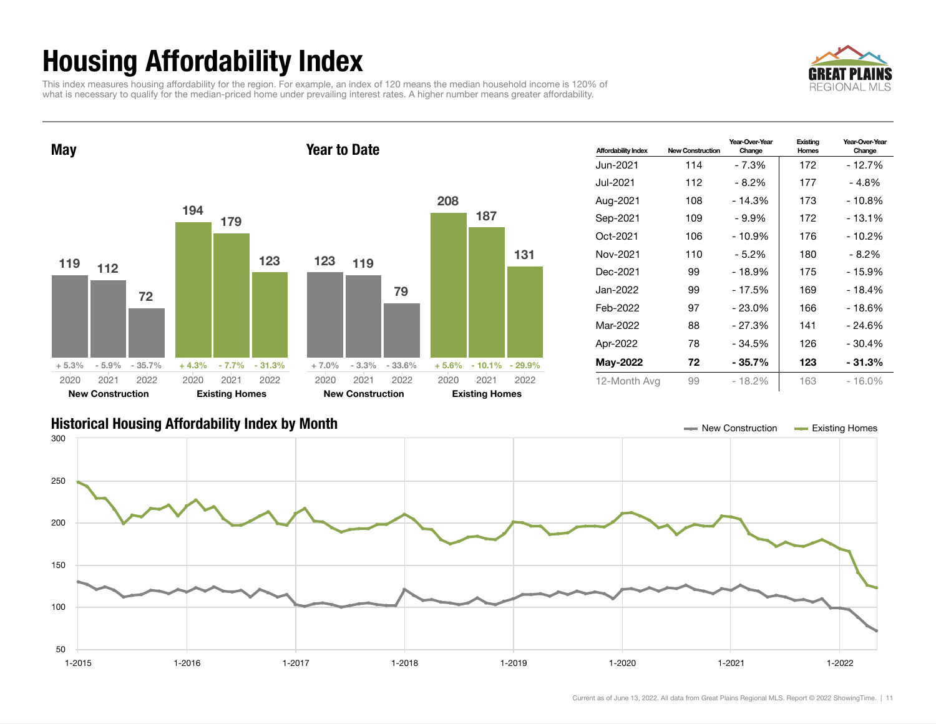## Housing Affordability Index

This index measures housing affordability for the region. For example, an index of 120 means the median household income is 120% of what is necessary to qualify for the median-priced home under prevailing interest rates. A higher number means greater affordability.



Year-Over-Year Change

Existing Homes

Affordability Index New Construction Year-Over-Year Change Jun-2021 114 - 7.3% 172 - 12.7% Jul-2021 112 - 8.2% 177 - 4.8% Aug-2021 108 - 14.3% 173 - 10.8% Sep-2021 109 - 9.9% | 172 - 13.1% Oct-2021 106 - 10.9% 176 - 10.2% Nov-2021 110 - 5.2% 180 - 8.2% Dec-2021 99 - 18.9% 175 - 15.9% Jan-2022 99 - 17.5% 169 - 18.4% Feb-2022 97 - 23.0% 166 - 18.6% Mar-2022 88 - 27.3% 141 - 24.6% Apr-2022 78 - 34.5% 126 - 30.4% May-2022 72 - 35.7% 123 - 31.3% 12-Month Avg 99 - 18.2% 163 - 16.0% May 119 112 72 + 5.3% - 5.9% - 35.7% 194 179 123 + 4.3% - 7.7% - 31.3% 2020 New Construction 2021 2022 2020 Existing Homes 2021 2022 Year to Date 123 119 79  $+7.0\%$   $-3.3\%$   $-33.6\%$ 208 187 131 + 5.6% - 10.1% - 29.9% 2020 New Construction 2021 2022 2020 Existing Homes 2021 2022

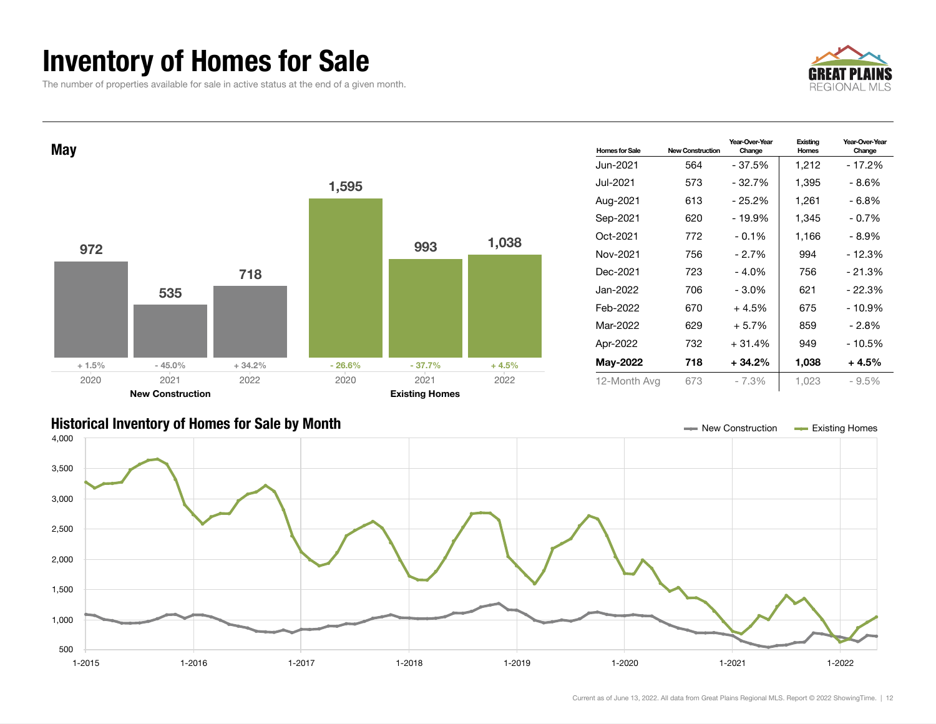### Inventory of Homes for Sale

The number of properties available for sale in active status at the end of a given month.







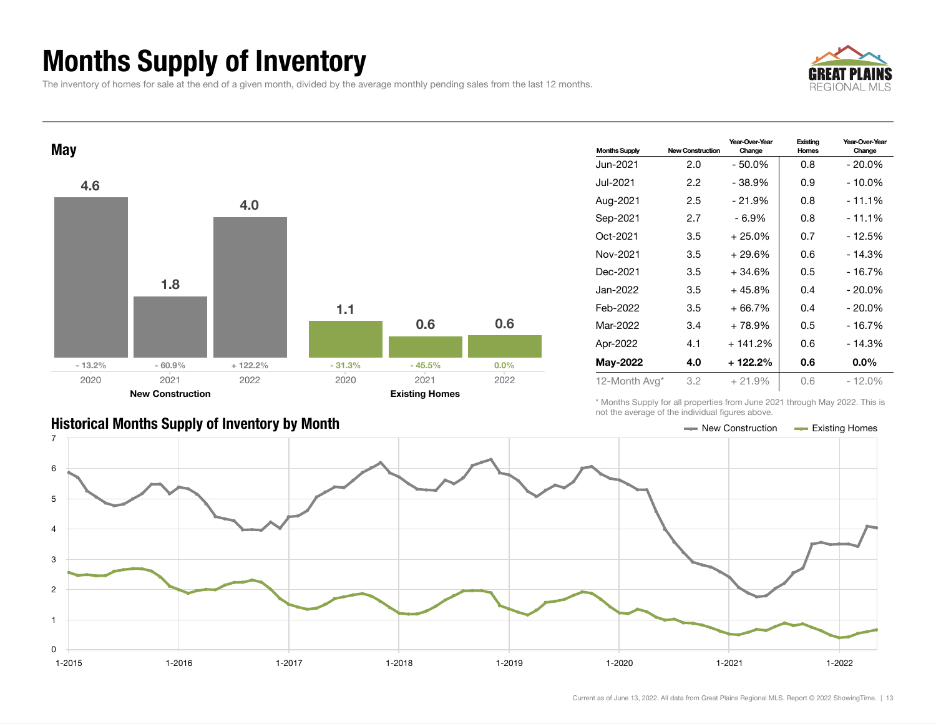### Months Supply of Inventory

The inventory of homes for sale at the end of a given month, divided by the average monthly pending sales from the last 12 months.





| <b>Months Supply</b> | <b>New Construction</b> | Year-Over-Year<br>Change | Existing<br>Homes | Year-Over-Year<br>Change |
|----------------------|-------------------------|--------------------------|-------------------|--------------------------|
| Jun-2021             | 2.0                     | - 50.0%                  | 0.8               | - 20.0%                  |
| Jul-2021             | 2.2                     | - 38.9%                  | 0.9               | - 10.0%                  |
| Aug-2021             | 2.5                     | $-21.9%$                 | 0.8               | - 11.1%                  |
| Sep-2021             | 2.7                     | $-6.9%$                  | 0.8               | - 11.1%                  |
| Oct-2021             | 3.5                     | $+25.0%$                 | 0.7               | $-12.5%$                 |
| Nov-2021             | 3.5                     | $+29.6%$                 | 0.6               | - 14.3%                  |
| Dec-2021             | 3.5                     | $+34.6%$                 | 0.5               | - 16.7%                  |
| Jan-2022             | 3.5                     | $+45.8%$                 | 0.4               | $-20.0\%$                |
| Feb-2022             | 3.5                     | $+66.7%$                 | 0.4               | $-20.0\%$                |
| Mar-2022             | 3.4                     | + 78.9%                  | 0.5               | - 16.7%                  |
| Apr-2022             | 4.1                     | $+141.2%$                | 0.6               | - 14.3%                  |
| <b>May-2022</b>      | 4.0                     | + 122.2%                 | 0.6               | $0.0\%$                  |
| 12-Month Avg*        | 3.2                     | $+21.9%$                 | 0.6               | - 12.0%                  |

#### Historical Months Supply of Inventory by Month New York New York New York New York New Construction Access Existing Homes

\* Months Supply for all properties from June 2021 through May 2022. This is not the average of the individual figures above.